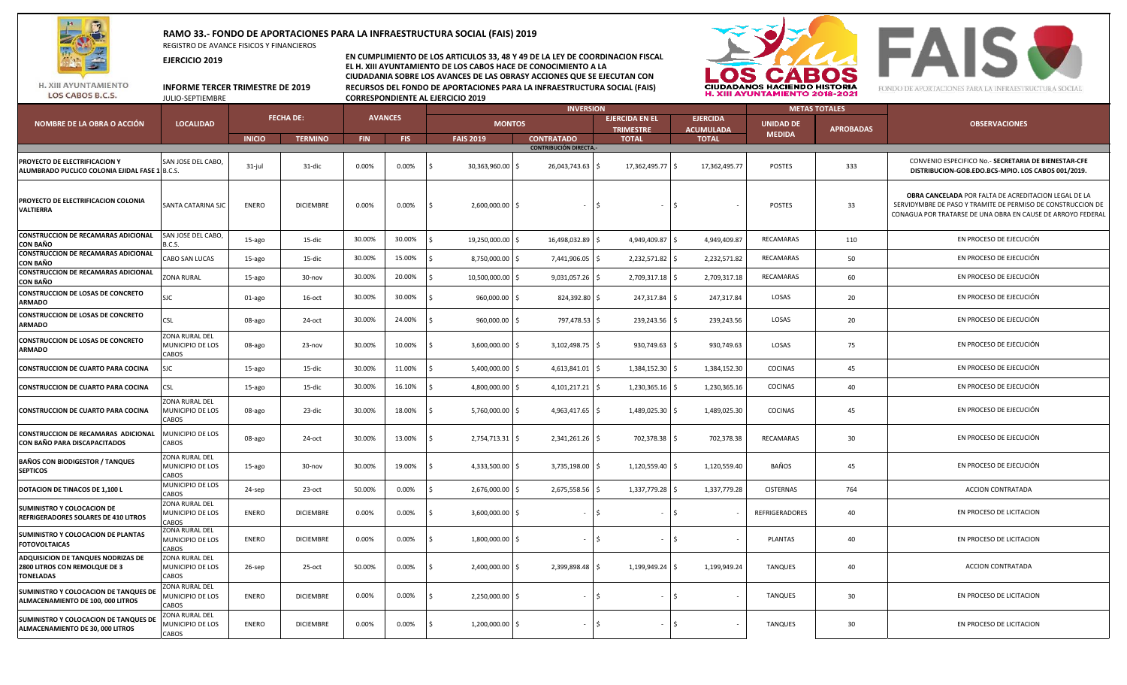

## **RAMO 33.- FONDO DE APORTACIONES PARA LA INFRAESTRUCTURA SOCIAL (FAIS) 2019**

REGISTRO DE AVANCE FISICOS Y FINANCIEROS

**EJERCICIO 2019**

**EN CUMPLIMIENTO DE LOS ARTICULOS 33, 48 Y 49 DE LA LEY DE COORDINACION FISCAL EL H. XIII AYUNTAMIENTO DE LOS CABOS HACE DE CONOCIMIENTO A LA CIUDADANIA SOBRE LOS AVANCES DE LAS OBRASY ACCIONES QUE SE EJECUTAN CON INFORME TERCER TRIMESTRE DE 2019 RECURSOS DEL FONDO DE APORTACIONES PARA LA INFRAESTRUCTURA SOCIAL (FAIS) CORRESPONDIENTE AL EJERCICIO 2019** 



**FAIS &** FONDO DE APORTACIONES PARA LA INFRAESTRUCTURA SOCIAL

H. XIII AYUNTAMIENTO LOS CABOS B.C.S.

|                                                                                  | <b>LOCALIDAD</b>                                   |                  |                  |                | <b>INVERSION</b> |                           |                               |                                           |                                     | <b>METAS TOTALES</b> |                  |                                                                                                                                                                                    |
|----------------------------------------------------------------------------------|----------------------------------------------------|------------------|------------------|----------------|------------------|---------------------------|-------------------------------|-------------------------------------------|-------------------------------------|----------------------|------------------|------------------------------------------------------------------------------------------------------------------------------------------------------------------------------------|
| NOMBRE DE LA OBRA O ACCIÓN                                                       |                                                    | <b>FECHA DE:</b> |                  | <b>AVANCES</b> |                  | <b>MONTOS</b>             |                               | <b>EJERCIDA EN EL</b><br><b>TRIMESTRE</b> | <b>EJERCIDA</b><br><b>ACUMULADA</b> | <b>UNIDAD DE</b>     | <b>APROBADAS</b> | <b>OBSERVACIONES</b>                                                                                                                                                               |
|                                                                                  |                                                    | <b>INICIO</b>    | <b>TERMINO</b>   | <b>FIN</b>     | FIS.             | <b>FAIS 2019</b>          | <b>CONTRATADO</b>             | <b>TOTAL</b>                              | <b>TOTAL</b>                        | <b>MEDIDA</b>        |                  |                                                                                                                                                                                    |
|                                                                                  |                                                    |                  |                  |                |                  |                           | <b>CONTRIBUCIÓN DIRECTA.-</b> |                                           |                                     |                      |                  |                                                                                                                                                                                    |
| PROYECTO DE ELECTRIFICACION Y<br>ALUMBRADO PUCLICO COLONIA EJIDAL FASE 1 B.C.S.  | SAN JOSE DEL CABO,                                 | 31-jul           | 31-dic           | 0.00%          | 0.00%            | l s<br>30,363,960.00 \$   | 26,043,743.63 \$              | 17,362,495.77 \$                          | 17,362,495.77                       | <b>POSTES</b>        | 333              | CONVENIO ESPECIFICO No. - SECRETARIA DE BIENESTAR-CFE<br>DISTRIBUCION-GOB.EDO.BCS-MPIO. LOS CABOS 001/2019.                                                                        |
| PROYECTO DE ELECTRIFICACION COLONIA<br>VALTIERRA                                 | SANTA CATARINA SJC                                 | <b>ENERO</b>     | <b>DICIEMBRE</b> | 0.00%          | 0.00%            | 2,600,000.00 \$<br>l Ś    | $\overline{\phantom{a}}$      | $\vert \xi$<br>$\sim$                     | Ś                                   | <b>POSTES</b>        | 33               | OBRA CANCELADA POR FALTA DE ACREDITACION LEGAL DE LA<br>SERVIDYMBRE DE PASO Y TRAMITE DE PERMISO DE CONSTRUCCION DE<br>CONAGUA POR TRATARSE DE UNA OBRA EN CAUSE DE ARROYO FEDERAL |
| CONSTRUCCION DE RECAMARAS ADICIONAL<br>CON BAÑO                                  | SAN JOSE DEL CABO,<br>3.C.S.                       | 15-ago           | 15-dic           | 30.00%         | 30.00%           | 19,250,000.00 \$          | 16,498,032.89 \$              | 4,949,409.87 \$                           | 4,949,409.87                        | RECAMARAS            | 110              | EN PROCESO DE EJECUCIÓN                                                                                                                                                            |
| CONSTRUCCION DE RECAMARAS ADICIONAL<br>CON BAÑO                                  | CABO SAN LUCAS                                     | 15-ago           | 15-dic           | 30.00%         | 15.00%           | 8,750,000.00 \$<br>١¢     | 7,441,906.05 \$               | 2,232,571.82 \$                           | 2,232,571.82                        | RECAMARAS            | 50               | EN PROCESO DE EJECUCIÓN                                                                                                                                                            |
| CONSTRUCCION DE RECAMARAS ADICIONAL<br>CON BAÑO                                  | ZONA RURAL                                         | 15-ago           | 30-nov           | 30.00%         | 20.00%           | 10,500,000.00 \$          | 9,031,057.26 \$               | 2,709,317.18 \$                           | 2,709,317.18                        | RECAMARAS            | 60               | EN PROCESO DE EJECUCIÓN                                                                                                                                                            |
| CONSTRUCCION DE LOSAS DE CONCRETO<br><b>ARMADO</b>                               | SJC                                                | 01-ago           | $16$ -oct        | 30.00%         | 30.00%           | $960,000.00$ \$<br>ıς     | 824,392.80 \$                 | 247,317.84 \$                             | 247,317.84                          | LOSAS                | 20               | EN PROCESO DE EJECUCIÓN                                                                                                                                                            |
| CONSTRUCCION DE LOSAS DE CONCRETO<br>ARMADO                                      | CSL                                                | 08-ago           | 24-oct           | 30.00%         | 24.00%           | 960,000.00 \$<br>١s       | 797,478.53 \$                 | $239,243.56$ \$                           | 239,243.56                          | LOSAS                | 20               | EN PROCESO DE EJECUCIÓN                                                                                                                                                            |
| <b>CONSTRUCCION DE LOSAS DE CONCRETO</b><br>ARMADO                               | ZONA RURAL DEL<br>MUNICIPIO DE LOS<br>CABOS        | 08-ago           | $23 - nov$       | 30.00%         | 10.00%           | I \$<br>$3,600,000.00$ \$ | 3,102,498.75 \$               | 930,749.63                                | 930,749.63                          | LOSAS                | 75               | EN PROCESO DE EJECUCIÓN                                                                                                                                                            |
| CONSTRUCCION DE CUARTO PARA COCINA                                               | SJC                                                | 15-ago           | 15-dic           | 30.00%         | 11.00%           | 5,400,000.00 \$<br>١¢     | 4,613,841.01 \$               | 1,384,152.30 \$                           | 1,384,152.30                        | <b>COCINAS</b>       | 45               | EN PROCESO DE EJECUCIÓN                                                                                                                                                            |
| CONSTRUCCION DE CUARTO PARA COCINA                                               | CSL                                                | 15-ago           | 15-dic           | 30.00%         | 16.10%           | 4,800,000.00 \$           | 4,101,217.21 \$               | 1,230,365.16 \$                           | 1,230,365.16                        | COCINAS              | 40               | EN PROCESO DE EJECUCIÓN                                                                                                                                                            |
| CONSTRUCCION DE CUARTO PARA COCINA                                               | ZONA RURAL DEL<br>MUNICIPIO DE LOS<br>CABOS        | 08-ago           | 23-dic           | 30.00%         | 18.00%           | 5,760,000.00 \$<br>l Ś    | 4,963,417.65 \$               | 1,489,025.30 \$                           | 1,489,025.30                        | COCINAS              | 45               | EN PROCESO DE EJECUCIÓN                                                                                                                                                            |
| CONSTRUCCION DE RECAMARAS ADICIONAL<br>CON BAÑO PARA DISCAPACITADOS              | MUNICIPIO DE LOS<br>CABOS                          | 08-ago           | 24-oct           | 30.00%         | 13.00%           | I\$<br>2,754,713.31   \$  | 2,341,261.26 \$               | 702,378.38 \$                             | 702,378.38                          | RECAMARAS            | 30               | EN PROCESO DE EJECUCIÓN                                                                                                                                                            |
| <b>BAÑOS CON BIODIGESTOR / TANQUES</b><br><b>SEPTICOS</b>                        | ZONA RURAL DEL<br>MUNICIPIO DE LOS<br>CABOS        | 15-ago           | 30-nov           | 30.00%         | 19.00%           | 4,333,500.00 \$<br>I\$    | 3,735,198.00 \$               | 1,120,559.40 \$                           | 1,120,559.40                        | BAÑOS                | 45               | EN PROCESO DE EJECUCIÓN                                                                                                                                                            |
| <b>DOTACION DE TINACOS DE 1,100 L</b>                                            | MUNICIPIO DE LOS<br>CABOS                          | 24-sep           | $23$ -oct        | 50.00%         | 0.00%            | 2,676,000.00 \$           | 2,675,558.56 \$               | 1,337,779.28 \$                           | 1,337,779.28                        | CISTERNAS            | 764              | <b>ACCION CONTRATADA</b>                                                                                                                                                           |
| SUMINISTRO Y COLOCACION DE<br>REFRIGERADORES SOLARES DE 410 LITROS               | ZONA RURAL DEL<br>MUNICIPIO DE LOS<br>CABOS        | <b>ENERO</b>     | <b>DICIEMBRE</b> | 0.00%          | 0.00%            | l s<br>3,600,000.00 \$    |                               | $\mathsf{I}$<br>$\sim$                    | $\zeta$                             | REFRIGERADORES       | 40               | EN PROCESO DE LICITACION                                                                                                                                                           |
| SUMINISTRO Y COLOCACION DE PLANTAS<br><b>FOTOVOLTAICAS</b>                       | ZONA RURAL DEL<br>MUNICIPIO DE LOS<br><b>CAROS</b> | <b>ENERO</b>     | <b>DICIEMBRE</b> | $0.00\%$       | 0.00%            | $1,800,000.00$ \$<br>IS.  |                               | ⊣ s<br>$\sim$                             | -S                                  | PLANTAS              | 40               | EN PROCESO DE LICITACION                                                                                                                                                           |
| ADQUISICION DE TANQUES NODRIZAS DE<br>2800 LITROS CON REMOLQUE DE 3<br>TONELADAS | ZONA RURAL DEL<br>MUNICIPIO DE LOS<br>CABOS        | 26-sep           | 25-oct           | 50.00%         | 0.00%            | l s<br>2,400,000.00 \$    | 2,399,898.48 \$               | 1,199,949.24 \$                           | 1,199,949.24                        | TANQUES              | 40               | <b>ACCION CONTRATADA</b>                                                                                                                                                           |
| SUMINISTRO Y COLOCACION DE TANQUES DE<br>ALMACENAMIENTO DE 100, 000 LITROS       | ZONA RURAL DEL<br>MUNICIPIO DE LOS<br>CABOS        | <b>ENERO</b>     | <b>DICIEMBRE</b> | 0.00%          | 0.00%            | I\$<br>2,250,000.00 \$    |                               | $\sqrt{5}$<br>$\sim$                      | -S                                  | TANQUES              | 30               | EN PROCESO DE LICITACION                                                                                                                                                           |
| SUMINISTRO Y COLOCACION DE TANQUES DE<br>ALMACENAMIENTO DE 30, 000 LITROS        | ZONA RURAL DEL<br>MUNICIPIO DE LOS<br>CABOS        | <b>ENERO</b>     | <b>DICIEMBRE</b> | 0.00%          | 0.00%            | 1,200,000.00 \$<br>IS.    |                               | $\vert$ s<br>$\sim$                       | S                                   | TANQUES              | 30               | EN PROCESO DE LICITACION                                                                                                                                                           |